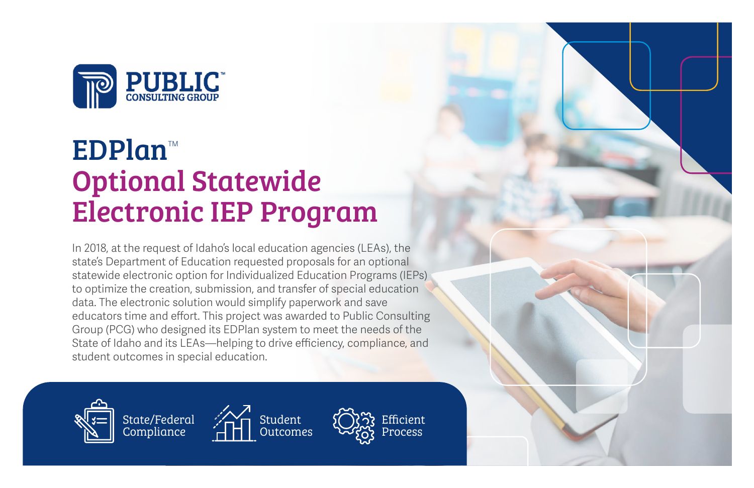

# **EDPlan**™ Optional Statewide Electronic IEP Program

In 2018, at the request of Idaho's local education agencies (LEAs), the state's Department of Education requested proposals for an optional statewide electronic option for Individualized Education Programs (IEPs) to optimize the creation, submission, and transfer of special education data. The electronic solution would simplify paperwork and save educators time and effort. This project was awarded to Public Consulting Group (PCG) who designed its EDPlan system to meet the needs of the State of Idaho and its LEAs—helping to drive efficiency, compliance, and student outcomes in special education.